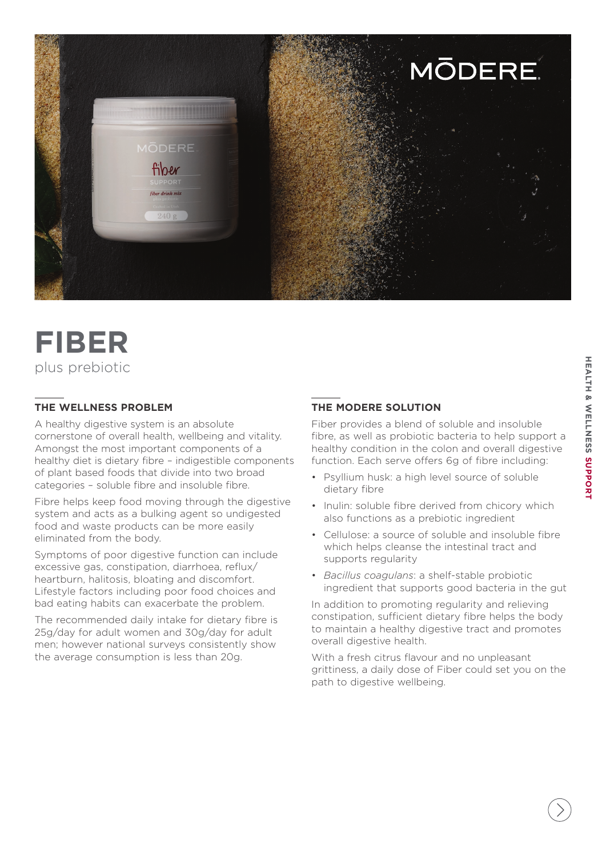

# **FIBER** plus prebiotic

## **THE WELLNESS PROBLEM**

A healthy digestive system is an absolute cornerstone of overall health, wellbeing and vitality. Amongst the most important components of a healthy diet is dietary fibre – indigestible components of plant based foods that divide into two broad categories – soluble fibre and insoluble fibre.

Fibre helps keep food moving through the digestive system and acts as a bulking agent so undigested food and waste products can be more easily eliminated from the body.

Symptoms of poor digestive function can include excessive gas, constipation, diarrhoea, reflux/ heartburn, halitosis, bloating and discomfort. Lifestyle factors including poor food choices and bad eating habits can exacerbate the problem.

The recommended daily intake for dietary fibre is 25g/day for adult women and 30g/day for adult men; however national surveys consistently show the average consumption is less than 20g.

# **THE MODERE SOLUTION**

Fiber provides a blend of soluble and insoluble fibre, as well as probiotic bacteria to help support a healthy condition in the colon and overall digestive function. Each serve offers 6g of fibre including:

- Psyllium husk: a high level source of soluble dietary fibre
- Inulin: soluble fibre derived from chicory which also functions as a prebiotic ingredient
- Cellulose: a source of soluble and insoluble fibre which helps cleanse the intestinal tract and supports regularity
- *Bacillus coagulans*: a shelf-stable probiotic ingredient that supports good bacteria in the gut

In addition to promoting regularity and relieving constipation, sufficient dietary fibre helps the body to maintain a healthy digestive tract and promotes overall digestive health.

With a fresh citrus flavour and no unpleasant grittiness, a daily dose of Fiber could set you on the path to digestive wellbeing.